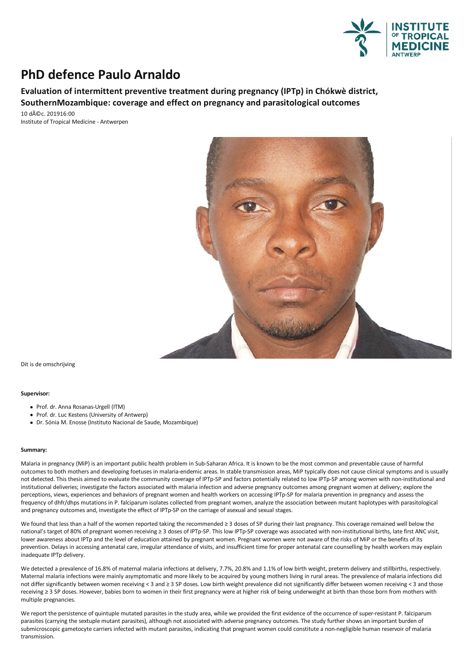

## **PhD defence Paulo Arnaldo**

**Evaluation of intermittent preventive treatment during pregnancy (IPTp) in Chókwè district, SouthernMozambique: coverage and effect on pregnancy and parasitological outcomes**

10 déc. 201916:00 Institute of Tropical Medicine - Antwerpen



Dit is de omschrijving

## **Supervisor:**

- Prof. dr. Anna Rosanas-Urgell (ITM)
- Prof. dr. Luc Kestens (University of Antwerp)
- Dr.Sónia M.Enosse (Instituto Nacional de Saude, Mozambique)

## **Summary:**

Malariain pregnancy (MiP) isan important public health problem in Sub-Saharan Africa. It isknown to be the most common and preventable cause of harmful outcomes to both mothers and developing foetuses in malaria-endemic areas. In stable transmission areas, MiP typically does not cause clinical symptoms and is usually not detected.This thesisaimed to evaluate the community coverage of IPTp-SP and factors potentially related to low IPTp-SP among women with non-institutional and institutional deliveries; investigate the factors associated with malaria infection and adverse pregnancy outcomes among pregnant women at delivery; explore the perceptions, views, experiences and behaviors of pregnant women and health workers on accessing IPTp-SP for malaria prevention in pregnancy and assess the frequency of dhfr/dhps mutations in P. falciparum isolates collected from pregnant women,analyze the association between mutant haplotypes with parasitological and pregnancy outcomes and, investigate the effect of IPTp-SP on the carriage of asexual and sexual stages.

We found that less than a half of the women reported taking the recommended  $\geq 3$  doses of SP during their last pregnancy. This coverage remained well below the national's target of 80% of pregnant women receiving ≥ 3 doses of IPTp-SP. This low IPTp-SP coverage was associated with non-institutional births, late first ANC visit, lower awareness about IPTp and the level of education attained by pregnant women. Pregnant women were not aware of the risks of MiP or the benefits of its prevention. Delays in accessing antenatal care, irregular attendance of visits, and insufficient time for proper antenatal care counselling by health workers may explain inadequate IPTp delivery.

We detected a prevalence of 16.8% of maternal malaria infections at delivery, 7.7%, 20.8% and 1.1% of low birth weight, preterm delivery and stillbirths, respectively.<br>Maternal malaria infections were mainly asymptomatic a not differ significantly between women receiving < 3 and ≥ 3 SP doses. Low birth weight prevalence did not significantly differ between women receiving < 3 and those receiving ≥ 3 SP doses. However, babies born to women in their first pregnancy were at higher risk of being underweight at birth than those born from mothers with multiple pregnancies.

We report the persistence of quintuple mutated parasites in the study area, while we provided the first evidence of the occurrence of super-resistant P. falciparum parasites (carrying the sextuple mutant parasites), although not associated with adverse pregnancy outcomes. The study further shows an important burden of submicroscopic gametocyte carriers infected with mutant parasites, indicating that pregnant women could constitute a non-negligible human reservoir of malaria transmission.